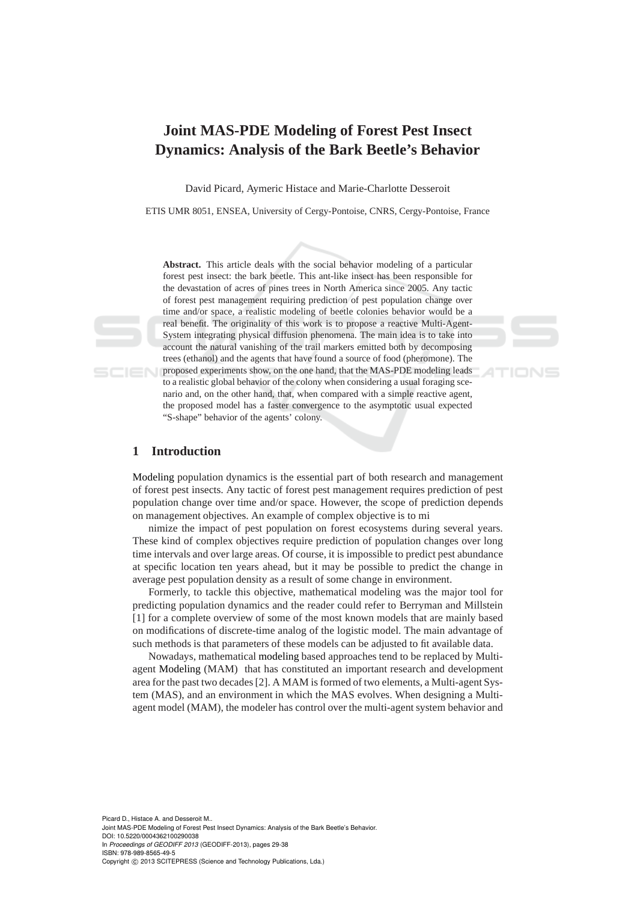# **Joint MAS-PDE Modeling of Forest Pest Insect Dynamics: Analysis of the Bark Beetle's Behavior**

David Picard, Aymeric Histace and Marie-Charlotte Desseroit

ETIS UMR 8051, ENSEA, University of Cergy-Pontoise, CNRS, Cergy-Pontoise, France

**Abstract.** This article deals with the social behavior modeling of a particular forest pest insect: the bark beetle. This ant-like insect has been responsible for the devastation of acres of pines trees in North America since 2005. Any tactic of forest pest management requiring prediction of pest population change over time and/or space, a realistic modeling of beetle colonies behavior would be a real benefit. The originality of this work is to propose a reactive Multi-Agent-System integrating physical diffusion phenomena. The main idea is to take into account the natural vanishing of the trail markers emitted both by decomposing trees (ethanol) and the agents that have found a source of food (pheromone). The proposed experiments show, on the one hand, that the MAS-PDE modeling leads to a realistic global behavior of the colony when considering a usual foraging scenario and, on the other hand, that, when compared with a simple reactive agent, the proposed model has a faster convergence to the asymptotic usual expected "S-shape" behavior of the agents' colony.

# **1 Introduction**

Modeling population dynamics is the essential part of both research and management of forest pest insects. Any tactic of forest pest management requires prediction of pest population change over time and/or space. However, the scope of prediction depends on management objectives. An example of complex objective is to mi

nimize the impact of pest population on forest ecosystems during several years. These kind of complex objectives require prediction of population changes over long time intervals and over large areas. Of course, it is impossible to predict pest abundance at specific location ten years ahead, but it may be possible to predict the change in average pest population density as a result of some change in environment.

Formerly, to tackle this objective, mathematical modeling was the major tool for predicting population dynamics and the reader could refer to Berryman and Millstein [1] for a complete overview of some of the most known models that are mainly based on modifications of discrete-time analog of the logistic model. The main advantage of such methods is that parameters of these models can be adjusted to fit available data.

Nowadays, mathematical modeling based approaches tend to be replaced by Multiagent Modeling (MAM) that has constituted an important research and development area for the past two decades [2]. A MAM is formed of two elements, a Multi-agent System (MAS), and an environment in which the MAS evolves. When designing a Multiagent model (MAM), the modeler has control over the multi-agent system behavior and

Picard D., Histace A. and Desseroit M.. Joint MAS-PDE Modeling of Forest Pest Insect Dynamics: Analysis of the Bark Beetle's Behavior. DOI: 10.5220/0004362100290038 In *Proceedings of GEODIFF 2013* (GEODIFF-2013), pages 29-38 ISBN: 978-989-8565-49-5 Copyright © 2013 SCITEPRESS (Science and Technology Publications, Lda.)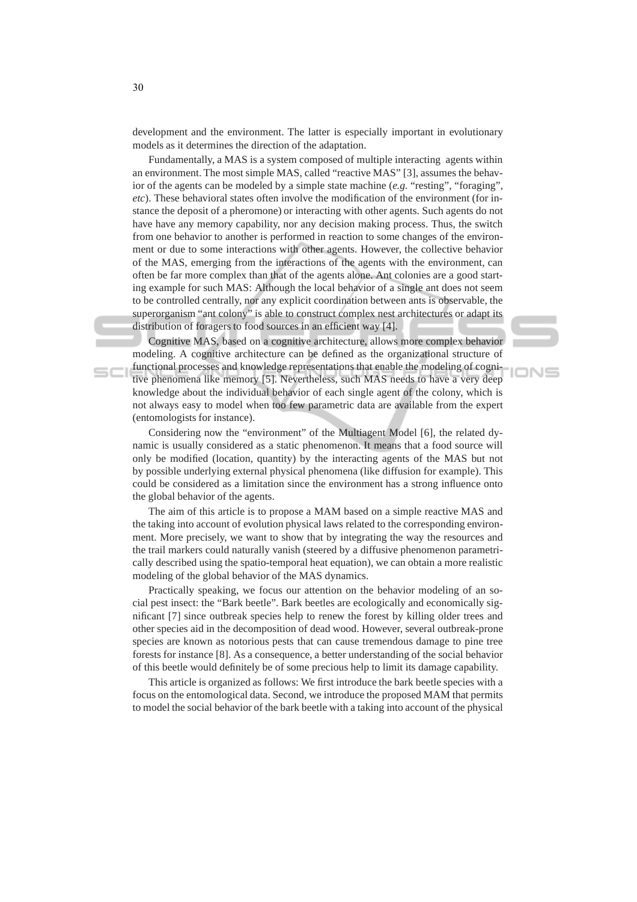development and the environment. The latter is especially important in evolutionary models as it determines the direction of the adaptation.

Fundamentally, a MAS is a system composed of multiple interacting agents within an environment. The most simple MAS, called "reactive MAS" [3], assumes the behavior of the agents can be modeled by a simple state machine (*e.g.* "resting", "foraging", *etc*). These behavioral states often involve the modification of the environment (for instance the deposit of a pheromone) or interacting with other agents. Such agents do not have have any memory capability, nor any decision making process. Thus, the switch from one behavior to another is performed in reaction to some changes of the environment or due to some interactions with other agents. However, the collective behavior of the MAS, emerging from the interactions of the agents with the environment, can often be far more complex than that of the agents alone. Ant colonies are a good starting example for such MAS: Although the local behavior of a single ant does not seem to be controlled centrally, nor any explicit coordination between ants is observable, the superorganism "ant colony" is able to construct complex nest architectures or adapt its distribution of foragers to food sources in an efficient way [4].

Cognitive MAS, based on a cognitive architecture, allows more complex behavior modeling. A cognitive architecture can be defined as the organizational structure of functional processes and knowledge representations that enable the modeling of cognitive phenomena like memory [5]. Nevertheless, such MAS needs to have a very deep knowledge about the individual behavior of each single agent of the colony, which is not always easy to model when too few parametric data are available from the expert (entomologists for instance).

**IONS** 

Considering now the "environment" of the Multiagent Model [6], the related dynamic is usually considered as a static phenomenon. It means that a food source will only be modified (location, quantity) by the interacting agents of the MAS but not by possible underlying external physical phenomena (like diffusion for example). This could be considered as a limitation since the environment has a strong influence onto the global behavior of the agents.

The aim of this article is to propose a MAM based on a simple reactive MAS and the taking into account of evolution physical laws related to the corresponding environment. More precisely, we want to show that by integrating the way the resources and the trail markers could naturally vanish (steered by a diffusive phenomenon parametrically described using the spatio-temporal heat equation), we can obtain a more realistic modeling of the global behavior of the MAS dynamics.

Practically speaking, we focus our attention on the behavior modeling of an social pest insect: the "Bark beetle". Bark beetles are ecologically and economically significant [7] since outbreak species help to renew the forest by killing older trees and other species aid in the decomposition of dead wood. However, several outbreak-prone species are known as notorious pests that can cause tremendous damage to pine tree forests for instance [8]. As a consequence, a better understanding of the social behavior of this beetle would definitely be of some precious help to limit its damage capability.

This article is organized as follows: We first introduce the bark beetle species with a focus on the entomological data. Second, we introduce the proposed MAM that permits to model the social behavior of the bark beetle with a taking into account of the physical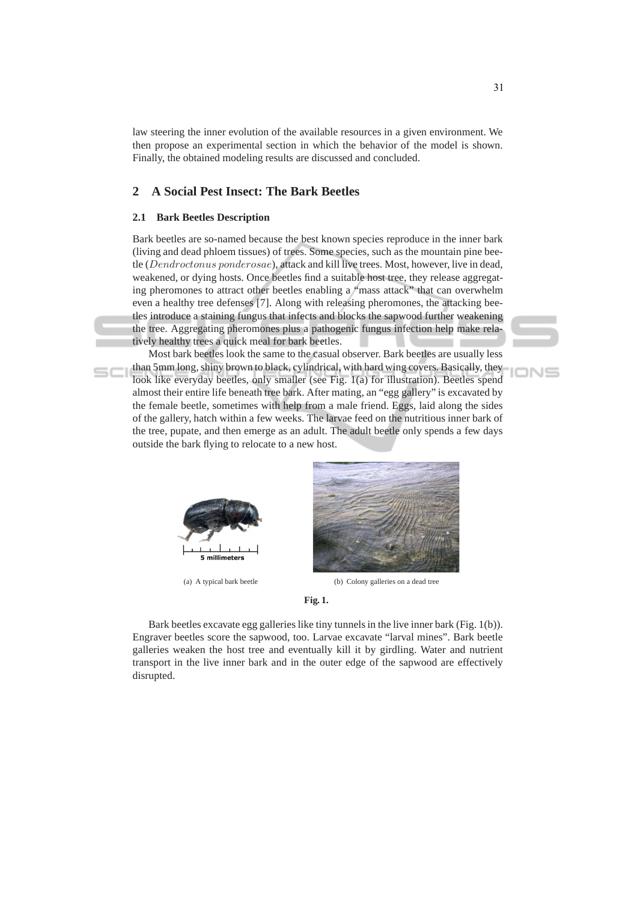law steering the inner evolution of the available resources in a given environment. We then propose an experimental section in which the behavior of the model is shown. Finally, the obtained modeling results are discussed and concluded.

# **2 A Social Pest Insect: The Bark Beetles**

# **2.1 Bark Beetles Description**

Bark beetles are so-named because the best known species reproduce in the inner bark (living and dead phloem tissues) of trees. Some species, such as the mountain pine beetle (Dendroctonus ponderosae), attack and kill live trees. Most, however, live in dead, weakened, or dying hosts. Once beetles find a suitable host tree, they release aggregating pheromones to attract other beetles enabling a "mass attack" that can overwhelm even a healthy tree defenses [7]. Along with releasing pheromones, the attacking beetles introduce a staining fungus that infects and blocks the sapwood further weakening the tree. Aggregating pheromones plus a pathogenic fungus infection help make relatively healthy trees a quick meal for bark beetles.

Most bark beetles look the same to the casual observer. Bark beetles are usually less than 5mm long, shiny brown to black, cylindrical, with hard wing covers. Basically, they look like everyday beetles, only smaller (see Fig. 1(a) for illustration). Beetles spend almost their entire life beneath tree bark. After mating, an "egg gallery" is excavated by the female beetle, sometimes with help from a male friend. Eggs, laid along the sides of the gallery, hatch within a few weeks. The larvae feed on the nutritious inner bark of the tree, pupate, and then emerge as an adult. The adult beetle only spends a few days outside the bark flying to relocate to a new host.





(a) A typical bark beetle (b) Colony galleries on a dead tree

**Fig. 1.**

Bark beetles excavate egg galleries like tiny tunnels in the live inner bark (Fig. 1(b)). Engraver beetles score the sapwood, too. Larvae excavate "larval mines". Bark beetle galleries weaken the host tree and eventually kill it by girdling. Water and nutrient transport in the live inner bark and in the outer edge of the sapwood are effectively disrupted.

אר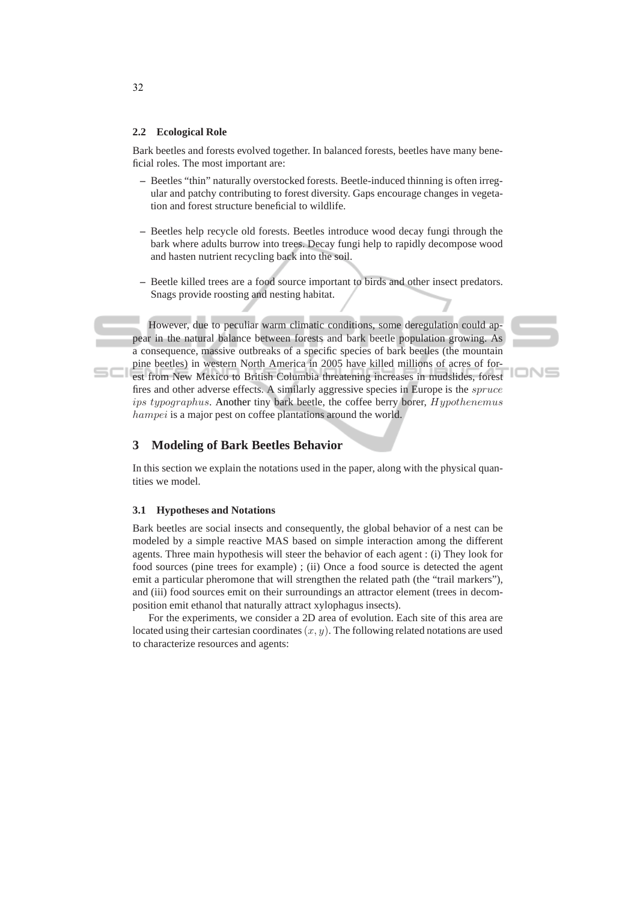### **2.2 Ecological Role**

Bark beetles and forests evolved together. In balanced forests, beetles have many beneficial roles. The most important are:

- **–** Beetles "thin" naturally overstocked forests. Beetle-induced thinning is often irregular and patchy contributing to forest diversity. Gaps encourage changes in vegetation and forest structure beneficial to wildlife.
- **–** Beetles help recycle old forests. Beetles introduce wood decay fungi through the bark where adults burrow into trees. Decay fungi help to rapidly decompose wood and hasten nutrient recycling back into the soil.
- **–** Beetle killed trees are a food source important to birds and other insect predators. Snags provide roosting and nesting habitat.

However, due to peculiar warm climatic conditions, some deregulation could appear in the natural balance between forests and bark beetle population growing. As a consequence, massive outbreaks of a specific species of bark beetles (the mountain pine beetles) in western North America in 2005 have killed millions of acres of forest from New Mexico to British Columbia threatening increases in mudslides, forest fires and other adverse effects. A similarly aggressive species in Europe is the *spruce* ips typographus. Another tiny bark beetle, the coffee berry borer, Hypothenemus hampei is a major pest on coffee plantations around the world.

# IONS

# **3 Modeling of Bark Beetles Behavior**

In this section we explain the notations used in the paper, along with the physical quantities we model.

### **3.1 Hypotheses and Notations**

Bark beetles are social insects and consequently, the global behavior of a nest can be modeled by a simple reactive MAS based on simple interaction among the different agents. Three main hypothesis will steer the behavior of each agent : (i) They look for food sources (pine trees for example) ; (ii) Once a food source is detected the agent emit a particular pheromone that will strengthen the related path (the "trail markers"), and (iii) food sources emit on their surroundings an attractor element (trees in decomposition emit ethanol that naturally attract xylophagus insects).

For the experiments, we consider a 2D area of evolution. Each site of this area are located using their cartesian coordinates  $(x, y)$ . The following related notations are used to characterize resources and agents:

32

 $SCI$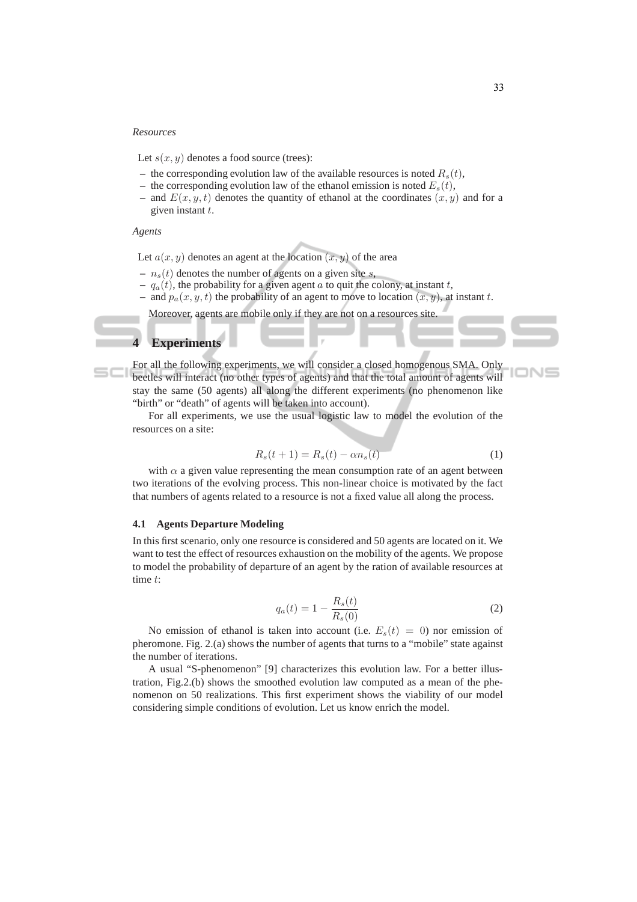### *Resources*

Let  $s(x, y)$  denotes a food source (trees):

- the corresponding evolution law of the available resources is noted  $R_s(t)$ ,
- the corresponding evolution law of the ethanol emission is noted  $E_s(t)$ ,
- and  $E(x, y, t)$  denotes the quantity of ethanol at the coordinates  $(x, y)$  and for a given instant  $t$ .

### *Agents*

Let  $a(x, y)$  denotes an agent at the location  $(x, y)$  of the area

- $n<sub>s</sub>(t)$  denotes the number of agents on a given site s,
- $q_a(t)$ , the probability for a given agent a to quit the colony, at instant t,
- and  $p_a(x, y, t)$  the probability of an agent to move to location  $(x, y)$ , at instant t.

Moreover, agents are mobile only if they are not on a resources site.

# **4 Experiments**

For all the following experiments, we will consider a closed homogenous SMA. Only beetles will interact (no other types of agents) and that the total amount of agents will stay the same (50 agents) all along the different experiments (no phenomenon like "birth" or "death" of agents will be taken into account).

For all experiments, we use the usual logistic law to model the evolution of the resources on a site:

$$
R_s(t+1) = R_s(t) - \alpha n_s(t) \tag{1}
$$

with  $\alpha$  a given value representing the mean consumption rate of an agent between two iterations of the evolving process. This non-linear choice is motivated by the fact that numbers of agents related to a resource is not a fixed value all along the process.

### **4.1 Agents Departure Modeling**

In this first scenario, only one resource is considered and 50 agents are located on it. We want to test the effect of resources exhaustion on the mobility of the agents. We propose to model the probability of departure of an agent by the ration of available resources at time t:

$$
q_a(t) = 1 - \frac{R_s(t)}{R_s(0)}
$$
 (2)

No emission of ethanol is taken into account (i.e.  $E_s(t) = 0$ ) nor emission of pheromone. Fig. 2.(a) shows the number of agents that turns to a "mobile" state against the number of iterations.

A usual "S-phenomenon" [9] characterizes this evolution law. For a better illustration, Fig.2.(b) shows the smoothed evolution law computed as a mean of the phenomenon on 50 realizations. This first experiment shows the viability of our model considering simple conditions of evolution. Let us know enrich the model.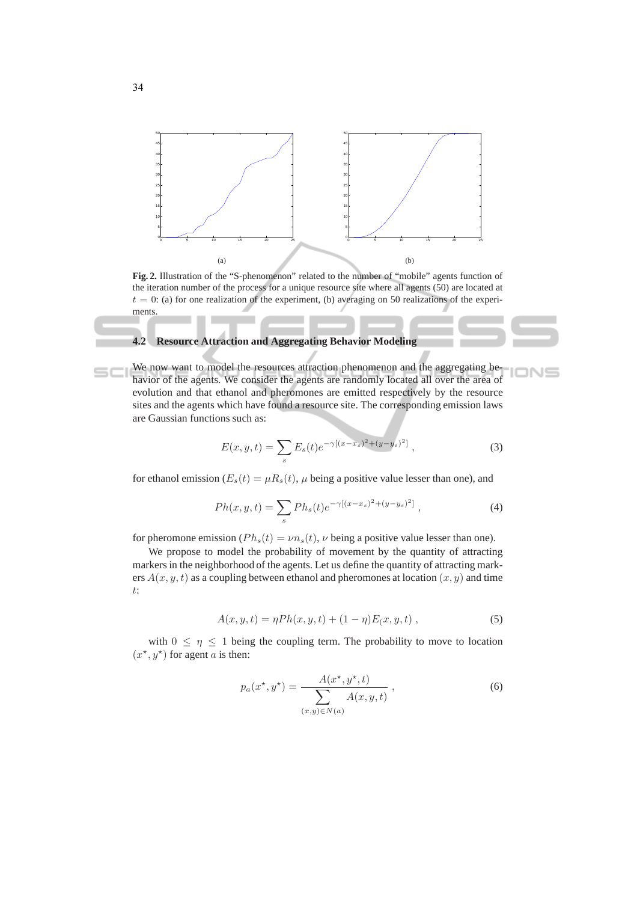

**Fig. 2.** Illustration of the "S-phenomenon" related to the number of "mobile" agents function of the iteration number of the process for a unique resource site where all agents (50) are located at  $t = 0$ : (a) for one realization of the experiment, (b) averaging on 50 realizations of the experiments.

### **4.2 Resource Attraction and Aggregating Behavior Modeling**

We now want to model the resources attraction phenomenon and the aggregating behavior of the agents. We consider the agents are randomly located all over the area of evolution and that ethanol and pheromones are emitted respectively by the resource sites and the agents which have found a resource site. The corresponding emission laws are Gaussian functions such as:

$$
E(x, y, t) = \sum_{s} E_s(t) e^{-\gamma [(x - x_s)^2 + (y - y_s)^2]}, \qquad (3)
$$

INS

for ethanol emission ( $E_s(t) = \mu R_s(t)$ ,  $\mu$  being a positive value lesser than one), and

$$
Ph(x, y, t) = \sum_{s} Ph_s(t)e^{-\gamma[(x-x_s)^2 + (y-y_s)^2]},
$$
\n(4)

for pheromone emission ( $Ph<sub>s</sub>(t) = vn<sub>s</sub>(t)$ ,  $\nu$  being a positive value lesser than one).

We propose to model the probability of movement by the quantity of attracting markers in the neighborhood of the agents. Let us define the quantity of attracting markers  $A(x, y, t)$  as a coupling between ethanol and pheromones at location  $(x, y)$  and time t:

$$
A(x, y, t) = \eta P h(x, y, t) + (1 - \eta) E(x, y, t) , \qquad (5)
$$

with  $0 \leq \eta \leq 1$  being the coupling term. The probability to move to location  $(x^*, y^*)$  for agent *a* is then:

$$
p_a(x^*, y^*) = \frac{A(x^*, y^*, t)}{\sum_{(x,y)\in N(a)} A(x, y, t)},
$$
\n(6)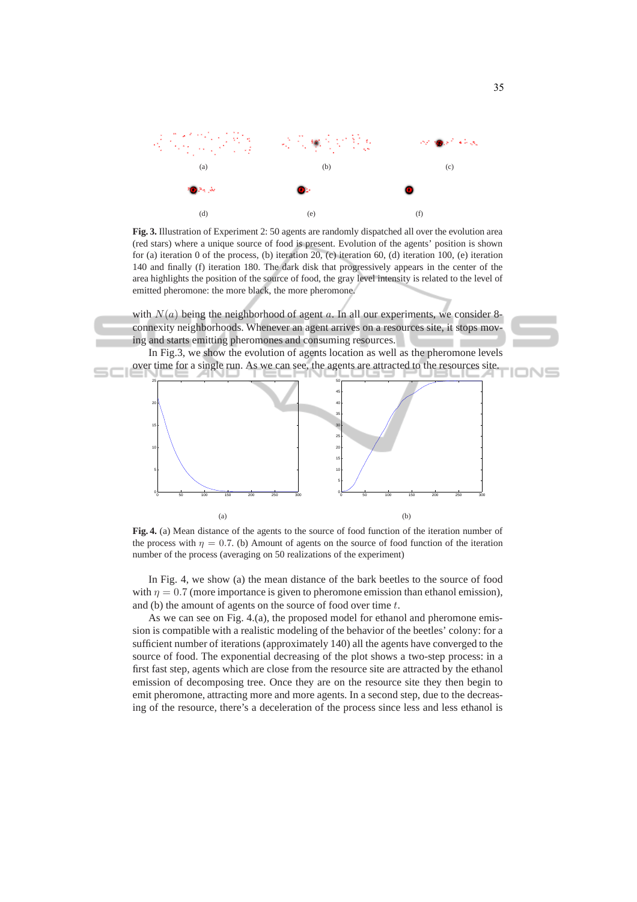

**Fig. 3.** Illustration of Experiment 2: 50 agents are randomly dispatched all over the evolution area (red stars) where a unique source of food is present. Evolution of the agents' position is shown for (a) iteration 0 of the process, (b) iteration 20, (c) iteration 60, (d) iteration 100, (e) iteration 140 and finally (f) iteration 180. The dark disk that progressively appears in the center of the area highlights the position of the source of food, the gray level intensity is related to the level of emitted pheromone: the more black, the more pheromone.

with  $N(a)$  being the neighborhood of agent a. In all our experiments, we consider 8connexity neighborhoods. Whenever an agent arrives on a resources site, it stops moving and starts emitting pheromones and consuming resources.

In Fig.3, we show the evolution of agents location as well as the pheromone levels over time for a single run. As we can see, the agents are attracted to the resources site.



**Fig. 4.** (a) Mean distance of the agents to the source of food function of the iteration number of the process with  $\eta = 0.7$ . (b) Amount of agents on the source of food function of the iteration number of the process (averaging on 50 realizations of the experiment)

In Fig. 4, we show (a) the mean distance of the bark beetles to the source of food with  $\eta = 0.7$  (more importance is given to pheromone emission than ethanol emission), and (b) the amount of agents on the source of food over time t.

As we can see on Fig. 4.(a), the proposed model for ethanol and pheromone emission is compatible with a realistic modeling of the behavior of the beetles' colony: for a sufficient number of iterations (approximately 140) all the agents have converged to the source of food. The exponential decreasing of the plot shows a two-step process: in a first fast step, agents which are close from the resource site are attracted by the ethanol emission of decomposing tree. Once they are on the resource site they then begin to emit pheromone, attracting more and more agents. In a second step, due to the decreasing of the resource, there's a deceleration of the process since less and less ethanol is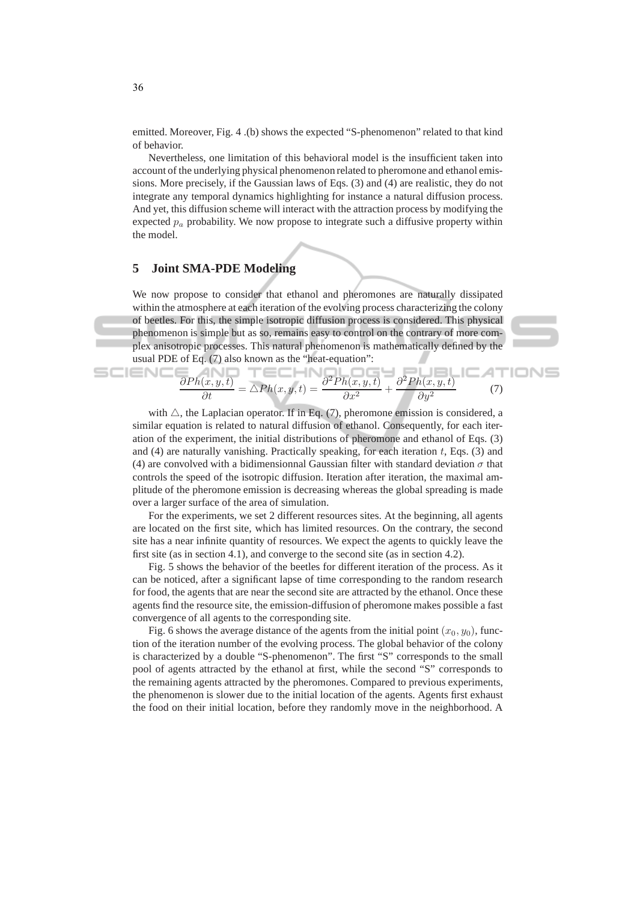emitted. Moreover, Fig. 4 .(b) shows the expected "S-phenomenon" related to that kind of behavior.

Nevertheless, one limitation of this behavioral model is the insufficient taken into account of the underlying physical phenomenon related to pheromone and ethanol emissions. More precisely, if the Gaussian laws of Eqs. (3) and (4) are realistic, they do not integrate any temporal dynamics highlighting for instance a natural diffusion process. And yet, this diffusion scheme will interact with the attraction process by modifying the expected  $p_a$  probability. We now propose to integrate such a diffusive property within the model.

# **5 Joint SMA-PDE Modeling**

We now propose to consider that ethanol and pheromones are naturally dissipated within the atmosphere at each iteration of the evolving process characterizing the colony of beetles. For this, the simple isotropic diffusion process is considered. This physical phenomenon is simple but as so, remains easy to control on the contrary of more complex anisotropic processes. This natural phenomenon is mathematically defined by the usual PDE of Eq. (7) also known as the "heat-equation":

$$
\frac{\partial Ph(x, y, t)}{\partial t} = \Delta Ph(x, y, t) = \frac{\partial^2 Ph(x, y, t)}{\partial x^2} + \frac{\partial^2 Ph(x, y, t)}{\partial y^2}
$$
(7)

with  $\triangle$ , the Laplacian operator. If in Eq. (7), pheromone emission is considered, a similar equation is related to natural diffusion of ethanol. Consequently, for each iteration of the experiment, the initial distributions of pheromone and ethanol of Eqs. (3) and (4) are naturally vanishing. Practically speaking, for each iteration  $t$ , Eqs. (3) and (4) are convolved with a bidimensionnal Gaussian filter with standard deviation  $\sigma$  that controls the speed of the isotropic diffusion. Iteration after iteration, the maximal amplitude of the pheromone emission is decreasing whereas the global spreading is made over a larger surface of the area of simulation.

For the experiments, we set 2 different resources sites. At the beginning, all agents are located on the first site, which has limited resources. On the contrary, the second site has a near infinite quantity of resources. We expect the agents to quickly leave the first site (as in section 4.1), and converge to the second site (as in section 4.2).

Fig. 5 shows the behavior of the beetles for different iteration of the process. As it can be noticed, after a significant lapse of time corresponding to the random research for food, the agents that are near the second site are attracted by the ethanol. Once these agents find the resource site, the emission-diffusion of pheromone makes possible a fast convergence of all agents to the corresponding site.

Fig. 6 shows the average distance of the agents from the initial point  $(x_0, y_0)$ , function of the iteration number of the evolving process. The global behavior of the colony is characterized by a double "S-phenomenon". The first "S" corresponds to the small pool of agents attracted by the ethanol at first, while the second "S" corresponds to the remaining agents attracted by the pheromones. Compared to previous experiments, the phenomenon is slower due to the initial location of the agents. Agents first exhaust the food on their initial location, before they randomly move in the neighborhood. A

SCIEN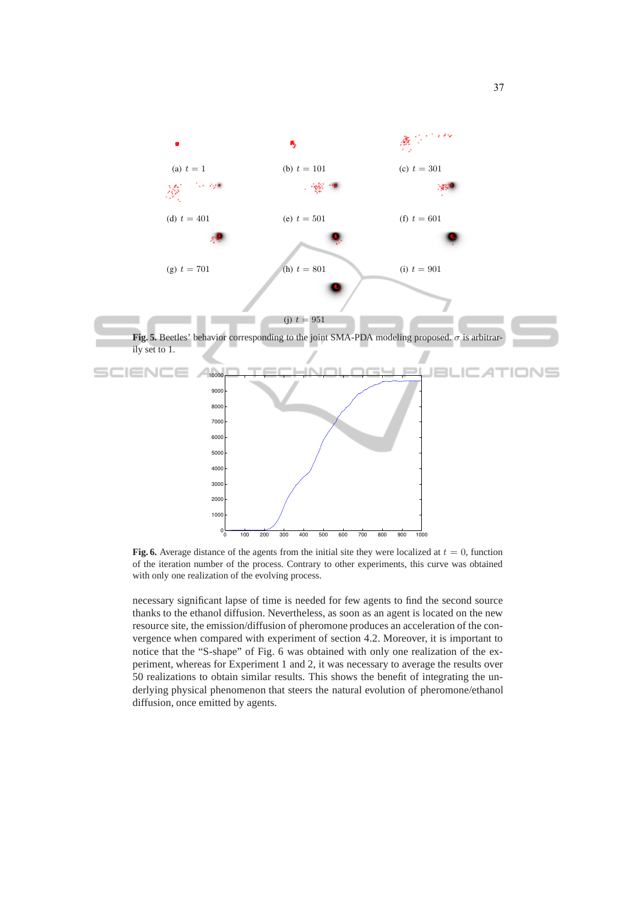

**Fig. 6.** Average distance of the agents from the initial site they were localized at  $t = 0$ , function of the iteration number of the process. Contrary to other experiments, this curve was obtained with only one realization of the evolving process.

necessary significant lapse of time is needed for few agents to find the second source thanks to the ethanol diffusion. Nevertheless, as soon as an agent is located on the new resource site, the emission/diffusion of pheromone produces an acceleration of the convergence when compared with experiment of section 4.2. Moreover, it is important to notice that the "S-shape" of Fig. 6 was obtained with only one realization of the experiment, whereas for Experiment 1 and 2, it was necessary to average the results over 50 realizations to obtain similar results. This shows the benefit of integrating the underlying physical phenomenon that steers the natural evolution of pheromone/ethanol diffusion, once emitted by agents.